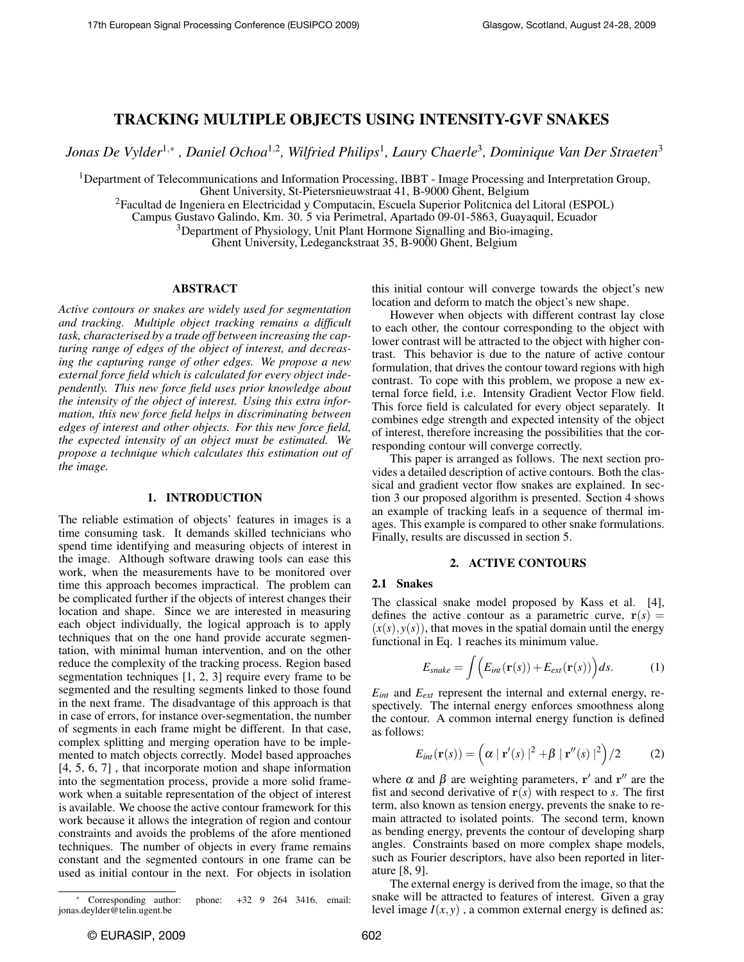# TRACKING MULTIPLE OBJECTS USING INTENSITY-GVF SNAKES

*Jonas De Vylder*<sup>1</sup>,<sup>∗</sup> *, Daniel Ochoa*<sup>1</sup>,<sup>2</sup> *, Wilfried Philips*<sup>1</sup> *, Laury Chaerle*<sup>3</sup> *, Dominique Van Der Straeten*<sup>3</sup>

<sup>1</sup>Department of Telecommunications and Information Processing, IBBT - Image Processing and Interpretation Group, Ghent University, St-Pietersnieuwstraat 41, B-9000 Ghent, Belgium

<sup>2</sup>Facultad de Ingeniera en Electricidad y Computacin, Escuela Superior Politcnica del Litoral (ESPOL)

Campus Gustavo Galindo, Km. 30. 5 via Perimetral, Apartado 09-01-5863, Guayaquil, Ecuador

<sup>3</sup>Department of Physiology, Unit Plant Hormone Signalling and Bio-imaging,

Ghent University, Ledeganckstraat 35, B-9000 Ghent, Belgium

## ABSTRACT

*Active contours or snakes are widely used for segmentation and tracking. Multiple object tracking remains a difficult task, characterised by a trade off between increasing the capturing range of edges of the object of interest, and decreasing the capturing range of other edges. We propose a new external force field which is calculated for every object independently. This new force field uses prior knowledge about the intensity of the object of interest. Using this extra information, this new force field helps in discriminating between edges of interest and other objects. For this new force field, the expected intensity of an object must be estimated. We propose a technique which calculates this estimation out of the image.*

## 1. INTRODUCTION

The reliable estimation of objects' features in images is a time consuming task. It demands skilled technicians who spend time identifying and measuring objects of interest in the image. Although software drawing tools can ease this work, when the measurements have to be monitored over time this approach becomes impractical. The problem can be complicated further if the objects of interest changes their location and shape. Since we are interested in measuring each object individually, the logical approach is to apply techniques that on the one hand provide accurate segmentation, with minimal human intervention, and on the other reduce the complexity of the tracking process. Region based segmentation techniques [1, 2, 3] require every frame to be segmented and the resulting segments linked to those found in the next frame. The disadvantage of this approach is that in case of errors, for instance over-segmentation, the number of segments in each frame might be different. In that case, complex splitting and merging operation have to be implemented to match objects correctly. Model based approaches [4, 5, 6, 7] , that incorporate motion and shape information into the segmentation process, provide a more solid framework when a suitable representation of the object of interest is available. We choose the active contour framework for this work because it allows the integration of region and contour constraints and avoids the problems of the afore mentioned techniques. The number of objects in every frame remains constant and the segmented contours in one frame can be used as initial contour in the next. For objects in isolation

this initial contour will converge towards the object's new location and deform to match the object's new shape.

However when objects with different contrast lay close to each other, the contour corresponding to the object with lower contrast will be attracted to the object with higher contrast. This behavior is due to the nature of active contour formulation, that drives the contour toward regions with high contrast. To cope with this problem, we propose a new external force field, i.e. Intensity Gradient Vector Flow field. This force field is calculated for every object separately. It combines edge strength and expected intensity of the object of interest, therefore increasing the possibilities that the corresponding contour will converge correctly.

This paper is arranged as follows. The next section provides a detailed description of active contours. Both the classical and gradient vector flow snakes are explained. In section 3 our proposed algorithm is presented. Section 4 shows an example of tracking leafs in a sequence of thermal images. This example is compared to other snake formulations. Finally, results are discussed in section 5.

#### 2. ACTIVE CONTOURS

## 2.1 Snakes

The classical snake model proposed by Kass et al. [4], defines the active contour as a parametric curve,  $r(s)$  =  $(x(s), y(s))$ , that moves in the spatial domain until the energy functional in Eq. 1 reaches its minimum value.

$$
E_{\text{snake}} = \int \Big( E_{\text{int}}(\mathbf{r}(s)) + E_{\text{ext}}(\mathbf{r}(s)) \Big) ds. \tag{1}
$$

 $E_{int}$  and  $E_{ext}$  represent the internal and external energy, respectively. The internal energy enforces smoothness along the contour. A common internal energy function is defined as follows:

$$
E_{int}(\mathbf{r}(s)) = \left(\alpha \mid \mathbf{r}'(s) \mid^{2} + \beta \mid \mathbf{r}''(s) \mid^{2}\right) / 2 \tag{2}
$$

where  $\alpha$  and  $\beta$  are weighting parameters, r' and r'' are the fist and second derivative of  $r(s)$  with respect to *s*. The first term, also known as tension energy, prevents the snake to remain attracted to isolated points. The second term, known as bending energy, prevents the contour of developing sharp angles. Constraints based on more complex shape models, such as Fourier descriptors, have also been reported in literature [8, 9].

The external energy is derived from the image, so that the snake will be attracted to features of interest. Given a gray level image  $I(x, y)$ , a common external energy is defined as:

<sup>∗</sup> Corresponding author: phone: +32 9 264 3416, email: jonas.deylder@telin.ugent.be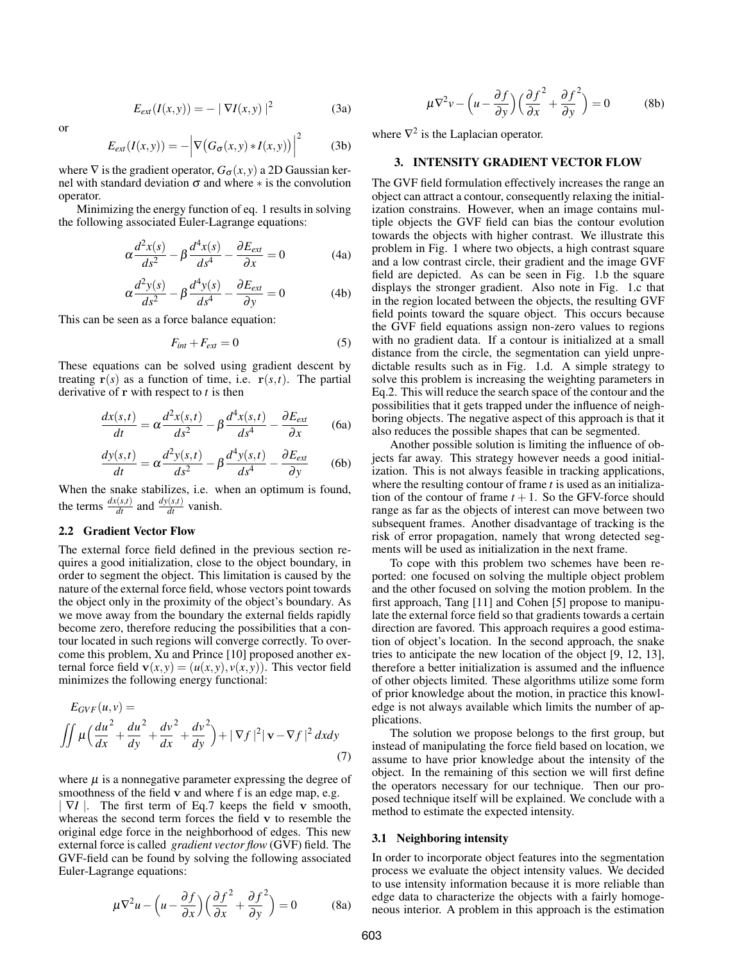$$
E_{ext}(I(x, y)) = - | \nabla I(x, y) |^{2}
$$
 (3a)

or

$$
E_{ext}(I(x,y)) = -\left|\nabla \big(G_{\sigma}(x,y) * I(x,y)\big)\right|^2 \tag{3b}
$$

where  $\nabla$  is the gradient operator,  $G_{\sigma}(x, y)$  a 2D Gaussian kernel with standard deviation  $\sigma$  and where  $*$  is the convolution operator.

Minimizing the energy function of eq. 1 results in solving the following associated Euler-Lagrange equations:

$$
\alpha \frac{d^2 x(s)}{ds^2} - \beta \frac{d^4 x(s)}{ds^4} - \frac{\partial E_{ext}}{\partial x} = 0
$$
 (4a)

$$
\alpha \frac{d^2 y(s)}{ds^2} - \beta \frac{d^4 y(s)}{ds^4} - \frac{\partial E_{ext}}{\partial y} = 0
$$
 (4b)

This can be seen as a force balance equation:

$$
F_{int} + F_{ext} = 0 \tag{5}
$$

These equations can be solved using gradient descent by treating  $r(s)$  as a function of time, i.e.  $r(s,t)$ . The partial derivative of r with respect to *t* is then

$$
\frac{dx(s,t)}{dt} = \alpha \frac{d^2x(s,t)}{ds^2} - \beta \frac{d^4x(s,t)}{ds^4} - \frac{\partial E_{ext}}{\partial x}
$$
 (6a)

$$
\frac{dy(s,t)}{dt} = \alpha \frac{d^2y(s,t)}{ds^2} - \beta \frac{d^4y(s,t)}{ds^4} - \frac{\partial E_{ext}}{\partial y}
$$
 (6b)

When the snake stabilizes, i.e. when an optimum is found, the terms  $\frac{dx(s,t)}{dt}$  and  $\frac{dy(s,t)}{dt}$  vanish.

## 2.2 Gradient Vector Flow

The external force field defined in the previous section requires a good initialization, close to the object boundary, in order to segment the object. This limitation is caused by the nature of the external force field, whose vectors point towards the object only in the proximity of the object's boundary. As we move away from the boundary the external fields rapidly become zero, therefore reducing the possibilities that a contour located in such regions will converge correctly. To overcome this problem, Xu and Prince [10] proposed another external force field  $\mathbf{v}(x, y) = (u(x, y), v(x, y))$ . This vector field minimizes the following energy functional:

$$
E_{GVF}(u, v) =
$$
  

$$
\iint \mu \left(\frac{du^2}{dx} + \frac{du^2}{dy} + \frac{dv^2}{dx} + \frac{dv^2}{dy}\right) + |\nabla f|^2 |\mathbf{v} - \nabla f|^2 dxdy
$$
 (7)

where  $\mu$  is a nonnegative parameter expressing the degree of smoothness of the field v and where f is an edge map, e.g.

| ∇*I* |. The first term of Eq.7 keeps the field v smooth, whereas the second term forces the field v to resemble the original edge force in the neighborhood of edges. This new external force is called *gradient vector flow* (GVF) field. The GVF-field can be found by solving the following associated Euler-Lagrange equations:

$$
\mu \nabla^2 u - \left( u - \frac{\partial f}{\partial x} \right) \left( \frac{\partial f}{\partial x}^2 + \frac{\partial f}{\partial y}^2 \right) = 0 \tag{8a}
$$

$$
\mu \nabla^2 v - \left( u - \frac{\partial f}{\partial y} \right) \left( \frac{\partial f^2}{\partial x} + \frac{\partial f^2}{\partial y} \right) = 0 \tag{8b}
$$

where  $\nabla^2$  is the Laplacian operator.

#### 3. INTENSITY GRADIENT VECTOR FLOW

The GVF field formulation effectively increases the range an object can attract a contour, consequently relaxing the initialization constrains. However, when an image contains multiple objects the GVF field can bias the contour evolution towards the objects with higher contrast. We illustrate this problem in Fig. 1 where two objects, a high contrast square and a low contrast circle, their gradient and the image GVF field are depicted. As can be seen in Fig. 1.b the square displays the stronger gradient. Also note in Fig. 1.c that in the region located between the objects, the resulting GVF field points toward the square object. This occurs because the GVF field equations assign non-zero values to regions with no gradient data. If a contour is initialized at a small distance from the circle, the segmentation can yield unpredictable results such as in Fig. 1.d. A simple strategy to solve this problem is increasing the weighting parameters in Eq.2. This will reduce the search space of the contour and the possibilities that it gets trapped under the influence of neighboring objects. The negative aspect of this approach is that it also reduces the possible shapes that can be segmented.

Another possible solution is limiting the influence of objects far away. This strategy however needs a good initialization. This is not always feasible in tracking applications, where the resulting contour of frame *t* is used as an initialization of the contour of frame  $t + 1$ . So the GFV-force should range as far as the objects of interest can move between two subsequent frames. Another disadvantage of tracking is the risk of error propagation, namely that wrong detected segments will be used as initialization in the next frame.

To cope with this problem two schemes have been reported: one focused on solving the multiple object problem and the other focused on solving the motion problem. In the first approach, Tang [11] and Cohen [5] propose to manipulate the external force field so that gradients towards a certain direction are favored. This approach requires a good estimation of object's location. In the second approach, the snake tries to anticipate the new location of the object [9, 12, 13], therefore a better initialization is assumed and the influence of other objects limited. These algorithms utilize some form of prior knowledge about the motion, in practice this knowledge is not always available which limits the number of applications.

The solution we propose belongs to the first group, but instead of manipulating the force field based on location, we assume to have prior knowledge about the intensity of the object. In the remaining of this section we will first define the operators necessary for our technique. Then our proposed technique itself will be explained. We conclude with a method to estimate the expected intensity.

#### 3.1 Neighboring intensity

In order to incorporate object features into the segmentation process we evaluate the object intensity values. We decided to use intensity information because it is more reliable than edge data to characterize the objects with a fairly homogeneous interior. A problem in this approach is the estimation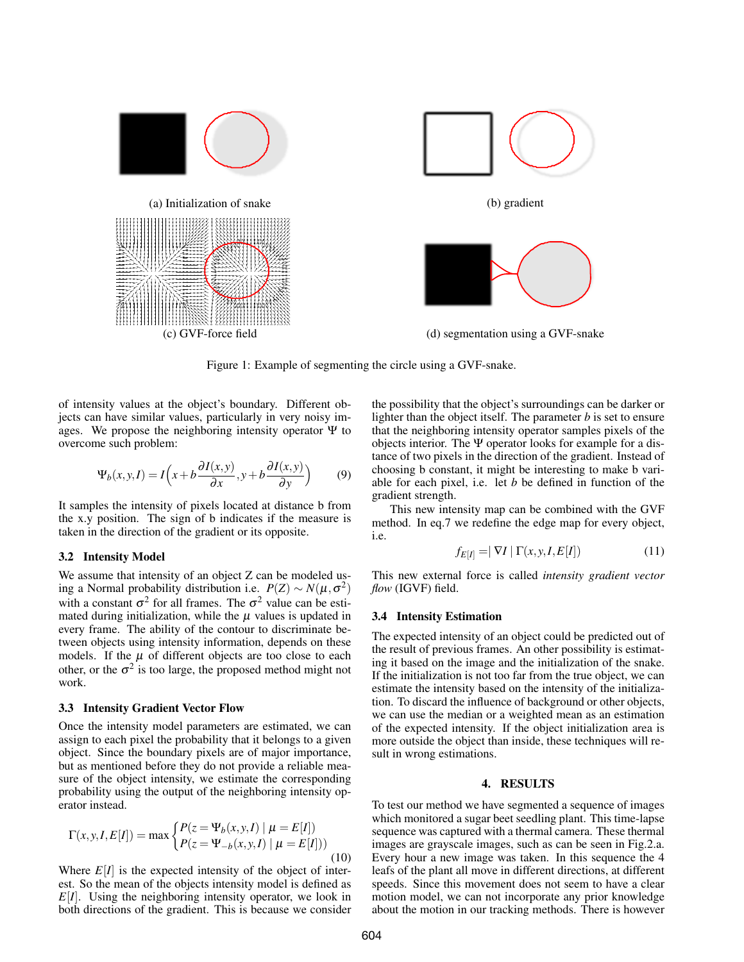



(c) GVF-force field (d) segmentation using a GVF-snake

Figure 1: Example of segmenting the circle using a GVF-snake.

of intensity values at the object's boundary. Different objects can have similar values, particularly in very noisy images. We propose the neighboring intensity operator  $\Psi$  to overcome such problem:

$$
\Psi_b(x, y, I) = I\left(x + b\frac{\partial I(x, y)}{\partial x}, y + b\frac{\partial I(x, y)}{\partial y}\right) \tag{9}
$$

It samples the intensity of pixels located at distance b from the x.y position. The sign of b indicates if the measure is taken in the direction of the gradient or its opposite.

#### 3.2 Intensity Model

We assume that intensity of an object Z can be modeled using a Normal probability distribution i.e.  $P(Z) \sim N(\mu, \sigma^2)$ with a constant  $\sigma^2$  for all frames. The  $\sigma^2$  value can be estimated during initialization, while the  $\mu$  values is updated in every frame. The ability of the contour to discriminate between objects using intensity information, depends on these models. If the  $\mu$  of different objects are too close to each other, or the  $\sigma^2$  is too large, the proposed method might not work.

## 3.3 Intensity Gradient Vector Flow

Once the intensity model parameters are estimated, we can assign to each pixel the probability that it belongs to a given object. Since the boundary pixels are of major importance, but as mentioned before they do not provide a reliable measure of the object intensity, we estimate the corresponding probability using the output of the neighboring intensity operator instead.

$$
\Gamma(x, y, I, E[I]) = \max \begin{cases} P(z = \Psi_b(x, y, I) \mid \mu = E[I]) \\ P(z = \Psi_{-b}(x, y, I) \mid \mu = E[I]) \end{cases}
$$
(10)

Where  $E[I]$  is the expected intensity of the object of interest. So the mean of the objects intensity model is defined as *E*[*I*]. Using the neighboring intensity operator, we look in both directions of the gradient. This is because we consider the possibility that the object's surroundings can be darker or lighter than the object itself. The parameter *b* is set to ensure that the neighboring intensity operator samples pixels of the objects interior. The Ψ operator looks for example for a distance of two pixels in the direction of the gradient. Instead of choosing b constant, it might be interesting to make b variable for each pixel, i.e. let *b* be defined in function of the gradient strength.

This new intensity map can be combined with the GVF method. In eq.7 we redefine the edge map for every object, i.e.

$$
f_{E[I]} = |\nabla I| \Gamma(x, y, I, E[I]) \tag{11}
$$

This new external force is called *intensity gradient vector flow* (IGVF) field.

## 3.4 Intensity Estimation

The expected intensity of an object could be predicted out of the result of previous frames. An other possibility is estimating it based on the image and the initialization of the snake. If the initialization is not too far from the true object, we can estimate the intensity based on the intensity of the initialization. To discard the influence of background or other objects, we can use the median or a weighted mean as an estimation of the expected intensity. If the object initialization area is more outside the object than inside, these techniques will result in wrong estimations.

## 4. RESULTS

To test our method we have segmented a sequence of images which monitored a sugar beet seedling plant. This time-lapse sequence was captured with a thermal camera. These thermal images are grayscale images, such as can be seen in Fig.2.a. Every hour a new image was taken. In this sequence the 4 leafs of the plant all move in different directions, at different speeds. Since this movement does not seem to have a clear motion model, we can not incorporate any prior knowledge about the motion in our tracking methods. There is however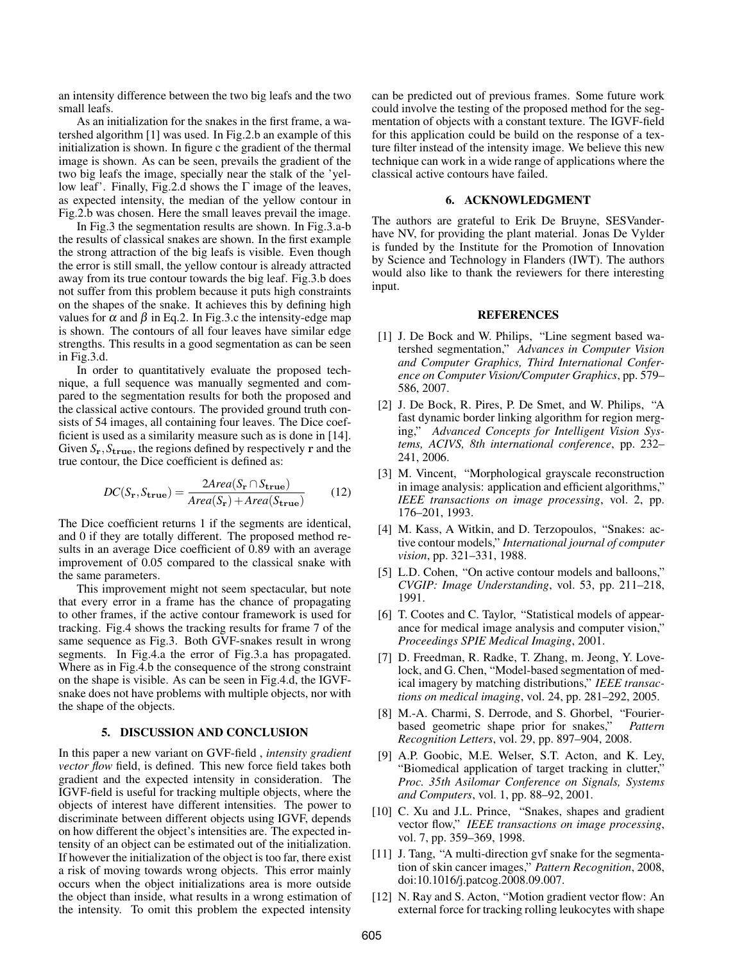an intensity difference between the two big leafs and the two small leafs.

As an initialization for the snakes in the first frame, a watershed algorithm [1] was used. In Fig.2.b an example of this initialization is shown. In figure c the gradient of the thermal image is shown. As can be seen, prevails the gradient of the two big leafs the image, specially near the stalk of the 'yellow leaf'. Finally, Fig.2.d shows the Γ image of the leaves, as expected intensity, the median of the yellow contour in Fig.2.b was chosen. Here the small leaves prevail the image.

In Fig.3 the segmentation results are shown. In Fig.3.a-b the results of classical snakes are shown. In the first example the strong attraction of the big leafs is visible. Even though the error is still small, the yellow contour is already attracted away from its true contour towards the big leaf. Fig.3.b does not suffer from this problem because it puts high constraints on the shapes of the snake. It achieves this by defining high values for  $\alpha$  and  $\beta$  in Eq.2. In Fig.3.c the intensity-edge map is shown. The contours of all four leaves have similar edge strengths. This results in a good segmentation as can be seen in Fig.3.d.

In order to quantitatively evaluate the proposed technique, a full sequence was manually segmented and compared to the segmentation results for both the proposed and the classical active contours. The provided ground truth consists of 54 images, all containing four leaves. The Dice coefficient is used as a similarity measure such as is done in [14]. Given *S*r,*S*true, the regions defined by respectively r and the true contour, the Dice coefficient is defined as:

$$
DC(S_{\mathbf{r}}, S_{\mathbf{true}}) = \frac{2Area(S_{\mathbf{r}} \cap S_{\mathbf{true}})}{Area(S_{\mathbf{r}}) + Area(S_{\mathbf{true}})} \tag{12}
$$

The Dice coefficient returns 1 if the segments are identical, and 0 if they are totally different. The proposed method results in an average Dice coefficient of 0.89 with an average improvement of 0.05 compared to the classical snake with the same parameters.

This improvement might not seem spectacular, but note that every error in a frame has the chance of propagating to other frames, if the active contour framework is used for tracking. Fig.4 shows the tracking results for frame 7 of the same sequence as Fig.3. Both GVF-snakes result in wrong segments. In Fig.4.a the error of Fig.3.a has propagated. Where as in Fig.4.b the consequence of the strong constraint on the shape is visible. As can be seen in Fig.4.d, the IGVFsnake does not have problems with multiple objects, nor with the shape of the objects.

### 5. DISCUSSION AND CONCLUSION

In this paper a new variant on GVF-field , *intensity gradient vector flow* field, is defined. This new force field takes both gradient and the expected intensity in consideration. The IGVF-field is useful for tracking multiple objects, where the objects of interest have different intensities. The power to discriminate between different objects using IGVF, depends on how different the object's intensities are. The expected intensity of an object can be estimated out of the initialization. If however the initialization of the object is too far, there exist a risk of moving towards wrong objects. This error mainly occurs when the object initializations area is more outside the object than inside, what results in a wrong estimation of the intensity. To omit this problem the expected intensity

can be predicted out of previous frames. Some future work could involve the testing of the proposed method for the segmentation of objects with a constant texture. The IGVF-field for this application could be build on the response of a texture filter instead of the intensity image. We believe this new technique can work in a wide range of applications where the classical active contours have failed.

## 6. ACKNOWLEDGMENT

The authors are grateful to Erik De Bruyne, SESVanderhave NV, for providing the plant material. Jonas De Vylder is funded by the Institute for the Promotion of Innovation by Science and Technology in Flanders (IWT). The authors would also like to thank the reviewers for there interesting input.

## REFERENCES

- [1] J. De Bock and W. Philips, "Line segment based watershed segmentation," *Advances in Computer Vision and Computer Graphics, Third International Conference on Computer Vision/Computer Graphics*, pp. 579– 586, 2007.
- [2] J. De Bock, R. Pires, P. De Smet, and W. Philips, "A fast dynamic border linking algorithm for region merging," *Advanced Concepts for Intelligent Vision Systems, ACIVS, 8th international conference*, pp. 232– 241, 2006.
- [3] M. Vincent, "Morphological grayscale reconstruction in image analysis: application and efficient algorithms," *IEEE transactions on image processing*, vol. 2, pp. 176–201, 1993.
- [4] M. Kass, A Witkin, and D. Terzopoulos, "Snakes: active contour models," *International journal of computer vision*, pp. 321–331, 1988.
- [5] L.D. Cohen, "On active contour models and balloons," *CVGIP: Image Understanding*, vol. 53, pp. 211–218, 1991.
- [6] T. Cootes and C. Taylor, "Statistical models of appearance for medical image analysis and computer vision," *Proceedings SPIE Medical Imaging*, 2001.
- [7] D. Freedman, R. Radke, T. Zhang, m. Jeong, Y. Lovelock, and G. Chen, "Model-based segmentation of medical imagery by matching distributions," *IEEE transactions on medical imaging*, vol. 24, pp. 281–292, 2005.
- [8] M.-A. Charmi, S. Derrode, and S. Ghorbel, "Fourierbased geometric shape prior for snakes," *Pattern Recognition Letters*, vol. 29, pp. 897–904, 2008.
- [9] A.P. Goobic, M.E. Welser, S.T. Acton, and K. Ley, "Biomedical application of target tracking in clutter," *Proc. 35th Asilomar Conference on Signals, Systems and Computers*, vol. 1, pp. 88–92, 2001.
- [10] C. Xu and J.L. Prince, "Snakes, shapes and gradient vector flow," *IEEE transactions on image processing*, vol. 7, pp. 359–369, 1998.
- [11] J. Tang, "A multi-direction gvf snake for the segmentation of skin cancer images," *Pattern Recognition*, 2008, doi:10.1016/j.patcog.2008.09.007.
- [12] N. Ray and S. Acton, "Motion gradient vector flow: An external force for tracking rolling leukocytes with shape